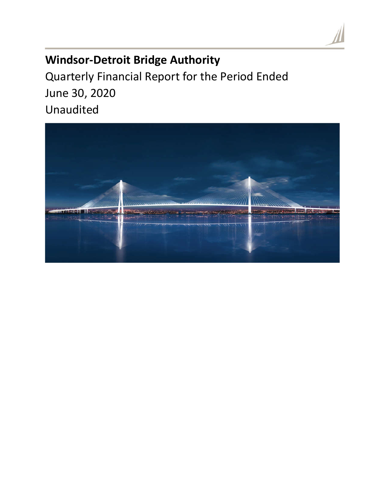# **Windsor-Detroit Bridge Authority**

Quarterly Financial Report for the Period Ended June 30, 2020 Unaudited

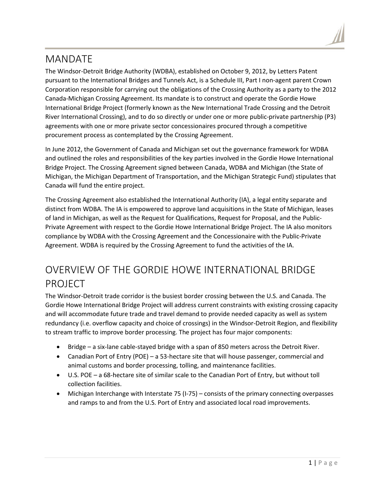## MANDATE

The Windsor-Detroit Bridge Authority (WDBA), established on October 9, 2012, by Letters Patent pursuant to the International Bridges and Tunnels Act, is a Schedule III, Part I non-agent parent Crown Corporation responsible for carrying out the obligations of the Crossing Authority as a party to the 2012 Canada-Michigan Crossing Agreement. Its mandate is to construct and operate the Gordie Howe International Bridge Project (formerly known as the New International Trade Crossing and the Detroit River International Crossing), and to do so directly or under one or more public-private partnership (P3) agreements with one or more private sector concessionaires procured through a competitive procurement process as contemplated by the Crossing Agreement.

In June 2012, the Government of Canada and Michigan set out the governance framework for WDBA and outlined the roles and responsibilities of the key parties involved in the Gordie Howe International Bridge Project. The Crossing Agreement signed between Canada, WDBA and Michigan (the State of Michigan, the Michigan Department of Transportation, and the Michigan Strategic Fund) stipulates that Canada will fund the entire project.

The Crossing Agreement also established the International Authority (IA), a legal entity separate and distinct from WDBA. The IA is empowered to approve land acquisitions in the State of Michigan, leases of land in Michigan, as well as the Request for Qualifications, Request for Proposal, and the Public-Private Agreement with respect to the Gordie Howe International Bridge Project. The IA also monitors compliance by WDBA with the Crossing Agreement and the Concessionaire with the Public-Private Agreement. WDBA is required by the Crossing Agreement to fund the activities of the IA.

# OVERVIEW OF THE GORDIE HOWE INTERNATIONAL BRIDGE PROJECT

The Windsor-Detroit trade corridor is the busiest border crossing between the U.S. and Canada. The Gordie Howe International Bridge Project will address current constraints with existing crossing capacity and will accommodate future trade and travel demand to provide needed capacity as well as system redundancy (i.e. overflow capacity and choice of crossings) in the Windsor-Detroit Region, and flexibility to stream traffic to improve border processing. The project has four major components:

- Bridge a six-lane cable-stayed bridge with a span of 850 meters across the Detroit River.
- Canadian Port of Entry (POE) a 53-hectare site that will house passenger, commercial and animal customs and border processing, tolling, and maintenance facilities.
- U.S. POE a 68-hectare site of similar scale to the Canadian Port of Entry, but without toll collection facilities.
- Michigan Interchange with Interstate 75 (I-75) consists of the primary connecting overpasses and ramps to and from the U.S. Port of Entry and associated local road improvements.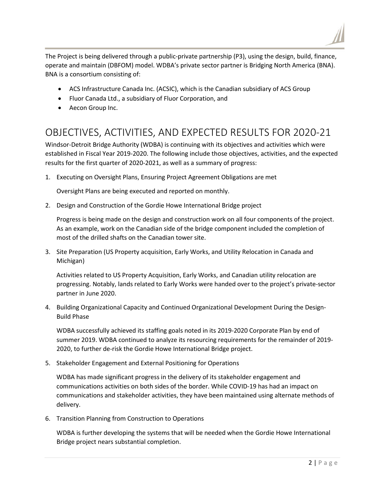The Project is being delivered through a public-private partnership (P3), using the design, build, finance,

operate and maintain (DBFOM) model. WDBA's private sector partner is Bridging North America (BNA). BNA is a consortium consisting of:

- ACS Infrastructure Canada Inc. (ACSIC), which is the Canadian subsidiary of ACS Group
- Fluor Canada Ltd., a subsidiary of Fluor Corporation, and
- Aecon Group Inc.

## OBJECTIVES, ACTIVITIES, AND EXPECTED RESULTS FOR 2020-21

Windsor-Detroit Bridge Authority (WDBA) is continuing with its objectives and activities which were established in Fiscal Year 2019-2020. The following include those objectives, activities, and the expected results for the first quarter of 2020-2021, as well as a summary of progress:

1. Executing on Oversight Plans, Ensuring Project Agreement Obligations are met

Oversight Plans are being executed and reported on monthly.

2. Design and Construction of the Gordie Howe International Bridge project

Progress is being made on the design and construction work on all four components of the project. As an example, work on the Canadian side of the bridge component included the completion of most of the drilled shafts on the Canadian tower site.

3. Site Preparation (US Property acquisition, Early Works, and Utility Relocation in Canada and Michigan)

Activities related to US Property Acquisition, Early Works, and Canadian utility relocation are progressing. Notably, lands related to Early Works were handed over to the project's private-sector partner in June 2020.

4. Building Organizational Capacity and Continued Organizational Development During the Design-Build Phase

WDBA successfully achieved its staffing goals noted in its 2019-2020 Corporate Plan by end of summer 2019. WDBA continued to analyze its resourcing requirements for the remainder of 2019- 2020, to further de-risk the Gordie Howe International Bridge project.

5. Stakeholder Engagement and External Positioning for Operations

WDBA has made significant progress in the delivery of its stakeholder engagement and communications activities on both sides of the border. While COVID-19 has had an impact on communications and stakeholder activities, they have been maintained using alternate methods of delivery.

6. Transition Planning from Construction to Operations

WDBA is further developing the systems that will be needed when the Gordie Howe International Bridge project nears substantial completion.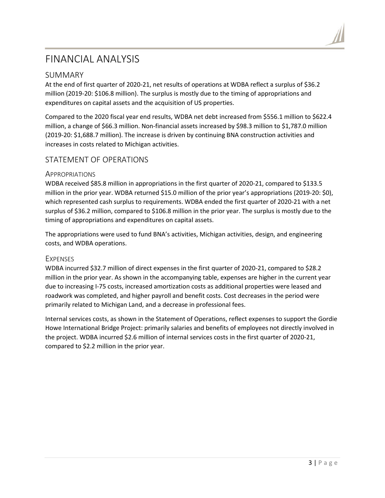## FINANCIAL ANALYSIS

#### SUMMARY

At the end of first quarter of 2020-21, net results of operations at WDBA reflect a surplus of \$36.2 million (2019-20: \$106.8 million). The surplus is mostly due to the timing of appropriations and expenditures on capital assets and the acquisition of US properties.

Compared to the 2020 fiscal year end results, WDBA net debt increased from \$556.1 million to \$622.4 million, a change of \$66.3 million. Non-financial assets increased by \$98.3 million to \$1,787.0 million (2019-20: \$1,688.7 million). The increase is driven by continuing BNA construction activities and increases in costs related to Michigan activities.

## STATEMENT OF OPERATIONS

#### APPROPRIATIONS

WDBA received \$85.8 million in appropriations in the first quarter of 2020-21, compared to \$133.5 million in the prior year. WDBA returned \$15.0 million of the prior year's appropriations (2019-20: \$0), which represented cash surplus to requirements. WDBA ended the first quarter of 2020-21 with a net surplus of \$36.2 million, compared to \$106.8 million in the prior year. The surplus is mostly due to the timing of appropriations and expenditures on capital assets.

The appropriations were used to fund BNA's activities, Michigan activities, design, and engineering costs, and WDBA operations.

#### **EXPENSES**

WDBA incurred \$32.7 million of direct expenses in the first quarter of 2020-21, compared to \$28.2 million in the prior year. As shown in the accompanying table, expenses are higher in the current year due to increasing I-75 costs, increased amortization costs as additional properties were leased and roadwork was completed, and higher payroll and benefit costs. Cost decreases in the period were primarily related to Michigan Land, and a decrease in professional fees.

Internal services costs, as shown in the Statement of Operations, reflect expenses to support the Gordie Howe International Bridge Project: primarily salaries and benefits of employees not directly involved in the project. WDBA incurred \$2.6 million of internal services costs in the first quarter of 2020-21, compared to \$2.2 million in the prior year.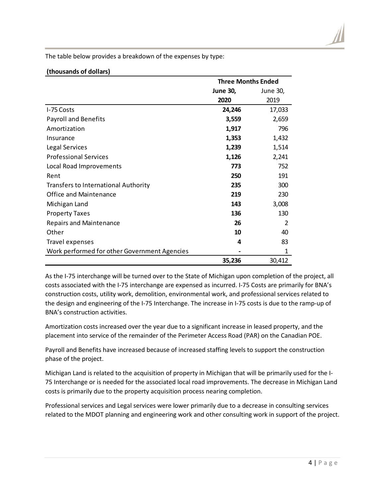The table below provides a breakdown of the expenses by type:

#### **(thousands of dollars)**

|                                              | <b>Three Months Ended</b> |               |
|----------------------------------------------|---------------------------|---------------|
|                                              | <b>June 30,</b>           | June 30,      |
|                                              | 2020                      | 2019          |
| I-75 Costs                                   | 24,246                    | 17,033        |
| <b>Payroll and Benefits</b>                  | 3,559                     | 2,659         |
| Amortization                                 | 1,917                     | 796           |
| Insurance                                    | 1,353                     | 1,432         |
| Legal Services                               | 1,239                     | 1,514         |
| <b>Professional Services</b>                 | 1,126                     | 2,241         |
| Local Road Improvements                      | 773                       | 752           |
| Rent                                         | 250                       | 191           |
| <b>Transfers to International Authority</b>  | 235                       | 300           |
| <b>Office and Maintenance</b>                | 219                       | 230           |
| Michigan Land                                | 143                       | 3,008         |
| <b>Property Taxes</b>                        | 136                       | 130           |
| <b>Repairs and Maintenance</b>               | 26                        | $\mathcal{P}$ |
| Other                                        | 10                        | 40            |
| Travel expenses                              | 4                         | 83            |
| Work performed for other Government Agencies |                           | 1             |
|                                              | 35,236                    | 30,412        |

As the I-75 interchange will be turned over to the State of Michigan upon completion of the project, all costs associated with the I-75 interchange are expensed as incurred. I-75 Costs are primarily for BNA's construction costs, utility work, demolition, environmental work, and professional services related to the design and engineering of the I-75 Interchange. The increase in I-75 costs is due to the ramp-up of BNA's construction activities.

Amortization costs increased over the year due to a significant increase in leased property, and the placement into service of the remainder of the Perimeter Access Road (PAR) on the Canadian POE.

Payroll and Benefits have increased because of increased staffing levels to support the construction phase of the project.

Michigan Land is related to the acquisition of property in Michigan that will be primarily used for the I-75 Interchange or is needed for the associated local road improvements. The decrease in Michigan Land costs is primarily due to the property acquisition process nearing completion.

Professional services and Legal services were lower primarily due to a decrease in consulting services related to the MDOT planning and engineering work and other consulting work in support of the project.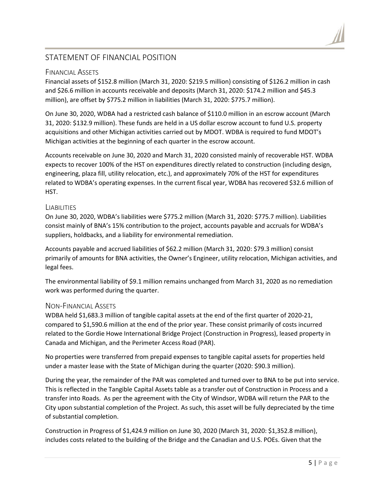## STATEMENT OF FINANCIAL POSITION

#### FINANCIAL ASSETS

Financial assets of \$152.8 million (March 31, 2020: \$219.5 million) consisting of \$126.2 million in cash and \$26.6 million in accounts receivable and deposits (March 31, 2020: \$174.2 million and \$45.3 million), are offset by \$775.2 million in liabilities (March 31, 2020: \$775.7 million).

On June 30, 2020, WDBA had a restricted cash balance of \$110.0 million in an escrow account (March 31, 2020: \$132.9 million). These funds are held in a US dollar escrow account to fund U.S. property acquisitions and other Michigan activities carried out by MDOT. WDBA is required to fund MDOT's Michigan activities at the beginning of each quarter in the escrow account.

Accounts receivable on June 30, 2020 and March 31, 2020 consisted mainly of recoverable HST. WDBA expects to recover 100% of the HST on expenditures directly related to construction (including design, engineering, plaza fill, utility relocation, etc.), and approximately 70% of the HST for expenditures related to WDBA's operating expenses. In the current fiscal year, WDBA has recovered \$32.6 million of HST.

#### LIABILITIES

On June 30, 2020, WDBA's liabilities were \$775.2 million (March 31, 2020: \$775.7 million). Liabilities consist mainly of BNA's 15% contribution to the project, accounts payable and accruals for WDBA's suppliers, holdbacks, and a liability for environmental remediation.

Accounts payable and accrued liabilities of \$62.2 million (March 31, 2020: \$79.3 million) consist primarily of amounts for BNA activities, the Owner's Engineer, utility relocation, Michigan activities, and legal fees.

The environmental liability of \$9.1 million remains unchanged from March 31, 2020 as no remediation work was performed during the quarter.

#### NON-FINANCIAL ASSETS

WDBA held \$1,683.3 million of tangible capital assets at the end of the first quarter of 2020-21, compared to \$1,590.6 million at the end of the prior year. These consist primarily of costs incurred related to the Gordie Howe International Bridge Project (Construction in Progress), leased property in Canada and Michigan, and the Perimeter Access Road (PAR).

No properties were transferred from prepaid expenses to tangible capital assets for properties held under a master lease with the State of Michigan during the quarter (2020: \$90.3 million).

During the year, the remainder of the PAR was completed and turned over to BNA to be put into service. This is reflected in the Tangible Capital Assets table as a transfer out of Construction in Process and a transfer into Roads. As per the agreement with the City of Windsor, WDBA will return the PAR to the City upon substantial completion of the Project. As such, this asset will be fully depreciated by the time of substantial completion.

Construction in Progress of \$1,424.9 million on June 30, 2020 (March 31, 2020: \$1,352.8 million), includes costs related to the building of the Bridge and the Canadian and U.S. POEs. Given that the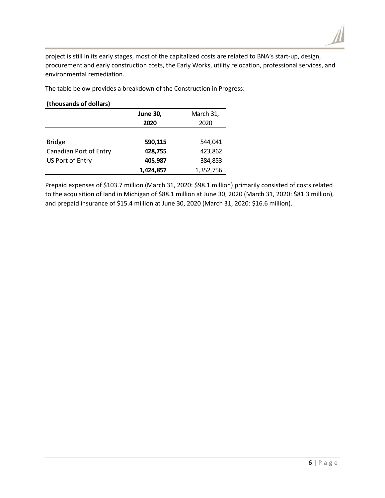

project is still in its early stages, most of the capitalized costs are related to BNA's start-up, design, procurement and early construction costs, the Early Works, utility relocation, professional services, and environmental remediation.

The table below provides a breakdown of the Construction in Progress:

#### **(thousands of dollars)**

|                        | <b>June 30,</b> | March 31, |
|------------------------|-----------------|-----------|
|                        | 2020            | 2020      |
|                        |                 |           |
| <b>Bridge</b>          | 590,115         | 544,041   |
| Canadian Port of Entry | 428,755         | 423,862   |
| US Port of Entry       | 405,987         | 384,853   |
|                        | 1,424,857       | 1,352,756 |

Prepaid expenses of \$103.7 million (March 31, 2020: \$98.1 million) primarily consisted of costs related to the acquisition of land in Michigan of \$88.1 million at June 30, 2020 (March 31, 2020: \$81.3 million), and prepaid insurance of \$15.4 million at June 30, 2020 (March 31, 2020: \$16.6 million).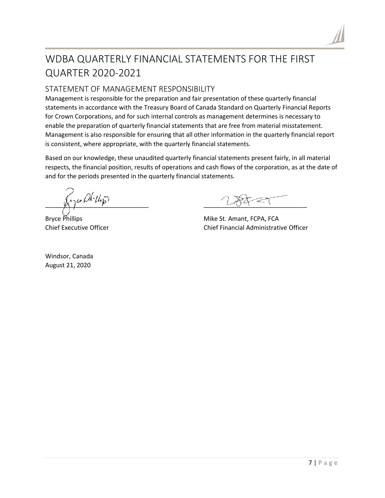

# WDBA QUARTERLY FINANCIAL STATEMENTS FOR THE FIRST **QUARTER 2020-2021**

## STATEMENT OF MANAGEMENT RESPONSIBILITY

Management is responsible for the preparation and fair presentation of these quarterly financial statements in accordance with the Treasury Board of Canada Standard on Quarterly Financial Reports for Crown Corporations, and for such internal controls as management determines is necessary to enable the preparation of quarterly financial statements that are free from material misstatement. Management is also responsible for ensuring that all other information in the quarterly financial report is consistent, where appropriate, with the quarterly financial statements.

Based on our knowledge, these unaudited quarterly financial statements present fairly, in all material respects, the financial position, results of operations and cash flows of the corporation, as at the date of and for the periods presented in the quarterly financial statements.

Kyce Dk.Up

**Bryce Phillips Chief Executive Officer** 

Windsor, Canada August 21, 2020

Mike St. Amant, FCPA, FCA Chief Financial Administrative Officer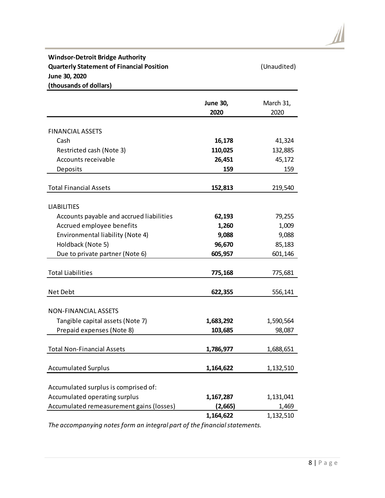### **Windsor-Detroit Bridge Authority Quarterly Statement of Financial Position** (Unaudited) **June 30, 2020 (thousands of dollars)**

|                                          | <b>June 30,</b> | March 31,<br>2020 |
|------------------------------------------|-----------------|-------------------|
|                                          | 2020            |                   |
| <b>FINANCIAL ASSETS</b>                  |                 |                   |
| Cash                                     | 16,178          | 41,324            |
| Restricted cash (Note 3)                 | 110,025         | 132,885           |
| Accounts receivable                      | 26,451          | 45,172            |
| Deposits                                 | 159             | 159               |
|                                          |                 |                   |
| <b>Total Financial Assets</b>            | 152,813         | 219,540           |
|                                          |                 |                   |
| <b>LIABILITIES</b>                       |                 |                   |
| Accounts payable and accrued liabilities | 62,193          | 79,255            |
| Accrued employee benefits                | 1,260           | 1,009             |
| Environmental liability (Note 4)         | 9,088           | 9,088             |
| Holdback (Note 5)                        | 96,670          | 85,183            |
| Due to private partner (Note 6)          | 605,957         | 601,146           |
|                                          |                 |                   |
| <b>Total Liabilities</b>                 | 775,168         | 775,681           |
|                                          |                 |                   |
| Net Debt                                 | 622,355         | 556,141           |
| <b>NON-FINANCIAL ASSETS</b>              |                 |                   |
| Tangible capital assets (Note 7)         | 1,683,292       | 1,590,564         |
| Prepaid expenses (Note 8)                | 103,685         | 98,087            |
|                                          |                 |                   |
| <b>Total Non-Financial Assets</b>        | 1,786,977       | 1,688,651         |
|                                          |                 |                   |
| <b>Accumulated Surplus</b>               | 1,164,622       | 1,132,510         |
|                                          |                 |                   |
| Accumulated surplus is comprised of:     |                 |                   |
| Accumulated operating surplus            | 1,167,287       | 1,131,041         |
| Accumulated remeasurement gains (losses) | (2,665)         | 1,469             |
|                                          | 1,164,622       | 1,132,510         |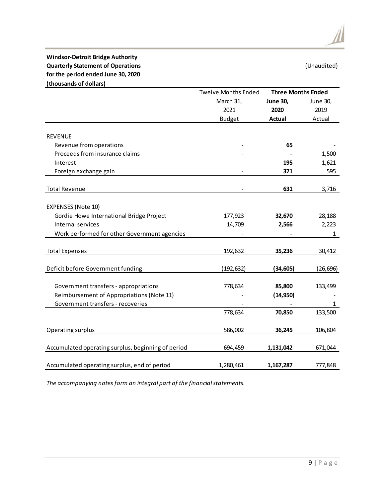#### **Windsor-Detroit Bridge Authority Quarterly Statement of Operations** (Unaudited) **for the period ended June 30, 2020 (thousands of dollars)**

|                                                    | <b>Twelve Months Ended</b> | <b>Three Months Ended</b> |              |
|----------------------------------------------------|----------------------------|---------------------------|--------------|
|                                                    | March 31,                  | <b>June 30,</b>           | June 30,     |
|                                                    | 2021                       | 2020                      | 2019         |
|                                                    | <b>Budget</b>              | <b>Actual</b>             | Actual       |
|                                                    |                            |                           |              |
| <b>REVENUE</b>                                     |                            |                           |              |
| Revenue from operations                            |                            | 65                        |              |
| Proceeds from insurance claims                     |                            |                           | 1,500        |
| Interest                                           |                            | 195                       | 1,621        |
| Foreign exchange gain                              |                            | 371                       | 595          |
| <b>Total Revenue</b>                               |                            | 631                       | 3,716        |
|                                                    |                            |                           |              |
| <b>EXPENSES (Note 10)</b>                          |                            |                           |              |
| Gordie Howe International Bridge Project           | 177,923                    | 32,670                    | 28,188       |
| Internal services                                  | 14,709                     | 2,566                     | 2,223        |
| Work performed for other Government agencies       |                            |                           | $\mathbf{1}$ |
|                                                    |                            |                           |              |
| <b>Total Expenses</b>                              | 192,632                    | 35,236                    | 30,412       |
| Deficit before Government funding                  | (192, 632)                 | (34, 605)                 | (26, 696)    |
| Government transfers - appropriations              | 778,634                    | 85,800                    | 133,499      |
| Reimbursement of Appropriations (Note 11)          |                            | (14, 950)                 |              |
| Government transfers - recoveries                  |                            |                           | $\mathbf{1}$ |
|                                                    | 778,634                    | 70,850                    | 133,500      |
|                                                    |                            |                           |              |
| Operating surplus                                  | 586,002                    | 36,245                    | 106,804      |
| Accumulated operating surplus, beginning of period | 694,459                    | 1,131,042                 | 671,044      |
| Accumulated operating surplus, end of period       | 1,280,461                  | 1,167,287                 | 777,848      |

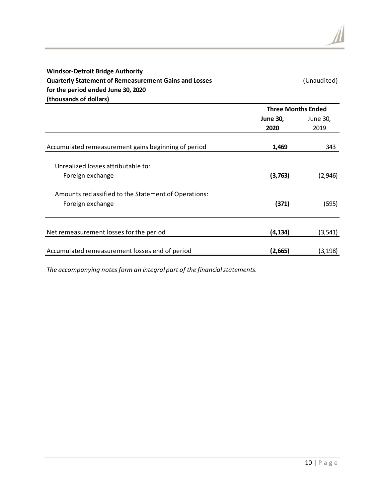| <b>Windsor-Detroit Bridge Authority</b><br><b>Quarterly Statement of Remeasurement Gains and Losses</b><br>for the period ended June 30, 2020<br>(thousands of dollars) |                           | (Unaudited)      |
|-------------------------------------------------------------------------------------------------------------------------------------------------------------------------|---------------------------|------------------|
|                                                                                                                                                                         | <b>Three Months Ended</b> |                  |
|                                                                                                                                                                         | <b>June 30,</b><br>2020   | June 30,<br>2019 |
| Accumulated remeasurement gains beginning of period                                                                                                                     | 1,469                     | 343              |
| Unrealized losses attributable to:<br>Foreign exchange                                                                                                                  | (3,763)                   | (2,946)          |
| Amounts reclassified to the Statement of Operations:<br>Foreign exchange                                                                                                | (371)                     | (595)            |
| Net remeasurement losses for the period                                                                                                                                 | (4, 134)                  | (3, 541)         |
| Accumulated remeasurement losses end of period                                                                                                                          | (2,665)                   | (3, 198)         |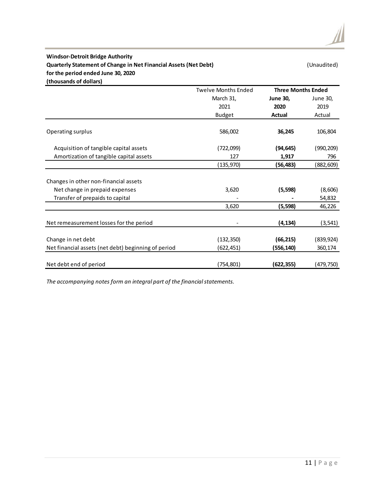#### **Windsor-Detroit Bridge Authority Quarterly Statement of Change in Net Financial Assets (Net Debt) (Unaudited)** (Unaudited) **for the period ended June 30, 2020 (thousands of dollars)**

|                                                     | <b>Twelve Months Ended</b> | <b>Three Months Ended</b> |            |  |
|-----------------------------------------------------|----------------------------|---------------------------|------------|--|
|                                                     | March 31,                  | <b>June 30,</b>           | June 30,   |  |
|                                                     | 2021                       | 2020                      | 2019       |  |
|                                                     | <b>Budget</b>              | <b>Actual</b>             | Actual     |  |
| Operating surplus                                   | 586,002                    | 36,245                    | 106,804    |  |
| Acquisition of tangible capital assets              | (722,099)                  | (94, 645)                 | (990, 209) |  |
| Amortization of tangible capital assets             | 127                        | 1,917                     | 796        |  |
|                                                     | (135,970)                  | (56,483)                  | (882, 609) |  |
| Changes in other non-financial assets               |                            |                           |            |  |
| Net change in prepaid expenses                      | 3,620                      | (5, 598)                  | (8,606)    |  |
| Transfer of prepaids to capital                     |                            |                           | 54,832     |  |
|                                                     | 3,620                      | (5, 598)                  | 46,226     |  |
| Net remeasurement losses for the period             |                            | (4,134)                   | (3, 541)   |  |
| Change in net debt                                  | (132, 350)                 | (66, 215)                 | (839, 924) |  |
| Net financial assets (net debt) beginning of period | (622,451)                  | (556,140)                 | 360,174    |  |
| Net debt end of period                              | (754,801)                  | (622, 355)                | (479,750)  |  |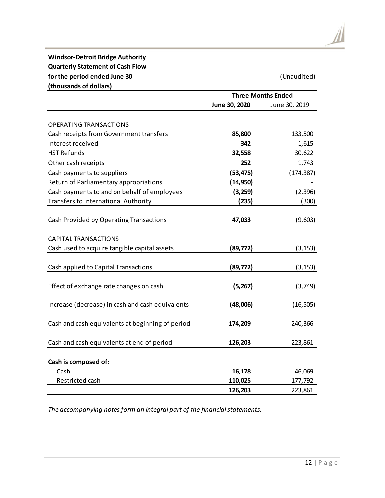#### **Windsor-Detroit Bridge Authority Quarterly Statement of Cash Flow for the period ended June 30** (Unaudited) **(thousands of dollars)**

| (thousands of dollars)                           | <b>Three Months Ended</b> |               |  |
|--------------------------------------------------|---------------------------|---------------|--|
|                                                  | June 30, 2020             | June 30, 2019 |  |
|                                                  |                           |               |  |
| <b>OPERATING TRANSACTIONS</b>                    |                           |               |  |
| Cash receipts from Government transfers          | 85,800                    | 133,500       |  |
| Interest received                                | 342                       | 1,615         |  |
| <b>HST Refunds</b>                               | 32,558                    | 30,622        |  |
| Other cash receipts                              | 252                       | 1,743         |  |
| Cash payments to suppliers                       | (53, 475)                 | (174, 387)    |  |
| Return of Parliamentary appropriations           | (14, 950)                 |               |  |
| Cash payments to and on behalf of employees      | (3,259)                   | (2, 396)      |  |
| <b>Transfers to International Authority</b>      | (235)                     | (300)         |  |
|                                                  |                           |               |  |
| Cash Provided by Operating Transactions          | 47,033                    | (9,603)       |  |
|                                                  |                           |               |  |
| <b>CAPITAL TRANSACTIONS</b>                      |                           |               |  |
| Cash used to acquire tangible capital assets     | (89, 772)                 | (3, 153)      |  |
|                                                  |                           |               |  |
| Cash applied to Capital Transactions             | (89, 772)                 | (3, 153)      |  |
|                                                  |                           |               |  |
| Effect of exchange rate changes on cash          | (5,267)                   | (3,749)       |  |
|                                                  |                           |               |  |
| Increase (decrease) in cash and cash equivalents | (48,006)                  | (16, 505)     |  |
|                                                  |                           |               |  |
| Cash and cash equivalents at beginning of period | 174,209                   | 240,366       |  |
|                                                  |                           |               |  |
| Cash and cash equivalents at end of period       | 126,203                   | 223,861       |  |
|                                                  |                           |               |  |
| Cash is composed of:                             |                           |               |  |
| Cash                                             | 16,178                    | 46,069        |  |
| Restricted cash                                  | 110,025                   | 177,792       |  |
|                                                  | 126,203                   | 223,861       |  |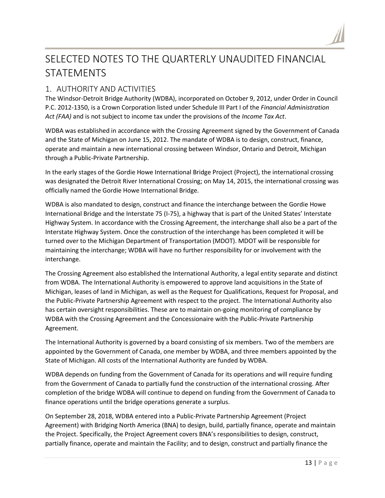

# SELECTED NOTES TO THE QUARTERLY UNAUDITED FINANCIAL STATEMENTS

## 1. AUTHORITY AND ACTIVITIES

The Windsor-Detroit Bridge Authority (WDBA), incorporated on October 9, 2012, under Order in Council P.C. 2012-1350, is a Crown Corporation listed under Schedule III Part I of the *Financial Administration Act (FAA)* and is not subject to income tax under the provisions of the *Income Tax Act*.

WDBA was established in accordance with the Crossing Agreement signed by the Government of Canada and the State of Michigan on June 15, 2012. The mandate of WDBA is to design, construct, finance, operate and maintain a new international crossing between Windsor, Ontario and Detroit, Michigan through a Public-Private Partnership.

In the early stages of the Gordie Howe International Bridge Project (Project), the international crossing was designated the Detroit River International Crossing; on May 14, 2015, the international crossing was officially named the Gordie Howe International Bridge.

WDBA is also mandated to design, construct and finance the interchange between the Gordie Howe International Bridge and the Interstate 75 (I-75), a highway that is part of the United States' Interstate Highway System. In accordance with the Crossing Agreement, the interchange shall also be a part of the Interstate Highway System. Once the construction of the interchange has been completed it will be turned over to the Michigan Department of Transportation (MDOT). MDOT will be responsible for maintaining the interchange; WDBA will have no further responsibility for or involvement with the interchange.

The Crossing Agreement also established the International Authority, a legal entity separate and distinct from WDBA. The International Authority is empowered to approve land acquisitions in the State of Michigan, leases of land in Michigan, as well as the Request for Qualifications, Request for Proposal, and the Public-Private Partnership Agreement with respect to the project. The International Authority also has certain oversight responsibilities. These are to maintain on-going monitoring of compliance by WDBA with the Crossing Agreement and the Concessionaire with the Public-Private Partnership Agreement.

The International Authority is governed by a board consisting of six members. Two of the members are appointed by the Government of Canada, one member by WDBA, and three members appointed by the State of Michigan. All costs of the International Authority are funded by WDBA.

WDBA depends on funding from the Government of Canada for its operations and will require funding from the Government of Canada to partially fund the construction of the international crossing. After completion of the bridge WDBA will continue to depend on funding from the Government of Canada to finance operations until the bridge operations generate a surplus.

On September 28, 2018, WDBA entered into a Public-Private Partnership Agreement (Project Agreement) with Bridging North America (BNA) to design, build, partially finance, operate and maintain the Project. Specifically, the Project Agreement covers BNA's responsibilities to design, construct, partially finance, operate and maintain the Facility; and to design, construct and partially finance the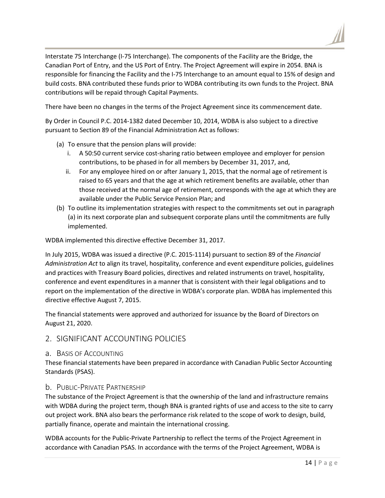Interstate 75 Interchange (I-75 Interchange). The components of the Facility are the Bridge, the Canadian Port of Entry, and the US Port of Entry. The Project Agreement will expire in 2054. BNA is responsible for financing the Facility and the I-75 Interchange to an amount equal to 15% of design and build costs. BNA contributed these funds prior to WDBA contributing its own funds to the Project. BNA contributions will be repaid through Capital Payments.

There have been no changes in the terms of the Project Agreement since its commencement date.

By Order in Council P.C. 2014-1382 dated December 10, 2014, WDBA is also subject to a directive pursuant to Section 89 of the Financial Administration Act as follows:

- (a) To ensure that the pension plans will provide:
	- i. A 50:50 current service cost-sharing ratio between employee and employer for pension contributions, to be phased in for all members by December 31, 2017, and,
	- ii. For any employee hired on or after January 1, 2015, that the normal age of retirement is raised to 65 years and that the age at which retirement benefits are available, other than those received at the normal age of retirement, corresponds with the age at which they are available under the Public Service Pension Plan; and
- (b) To outline its implementation strategies with respect to the commitments set out in paragraph (a) in its next corporate plan and subsequent corporate plans until the commitments are fully implemented.

WDBA implemented this directive effective December 31, 2017.

In July 2015, WDBA was issued a directive (P.C. 2015-1114) pursuant to section 89 of the *Financial Administration Act* to align its travel, hospitality, conference and event expenditure policies, guidelines and practices with Treasury Board policies, directives and related instruments on travel, hospitality, conference and event expenditures in a manner that is consistent with their legal obligations and to report on the implementation of the directive in WDBA's corporate plan. WDBA has implemented this directive effective August 7, 2015.

The financial statements were approved and authorized for issuance by the Board of Directors on August 21, 2020.

#### 2. SIGNIFICANT ACCOUNTING POLICIES

#### a. BASIS OF ACCOUNTING

These financial statements have been prepared in accordance with Canadian Public Sector Accounting Standards (PSAS).

#### b. PUBLIC-PRIVATE PARTNERSHIP

The substance of the Project Agreement is that the ownership of the land and infrastructure remains with WDBA during the project term, though BNA is granted rights of use and access to the site to carry out project work. BNA also bears the performance risk related to the scope of work to design, build, partially finance, operate and maintain the international crossing.

WDBA accounts for the Public-Private Partnership to reflect the terms of the Project Agreement in accordance with Canadian PSAS. In accordance with the terms of the Project Agreement, WDBA is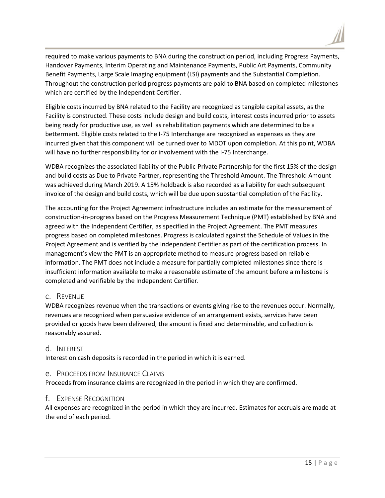

required to make various payments to BNA during the construction period, including Progress Payments, Handover Payments, Interim Operating and Maintenance Payments, Public Art Payments, Community Benefit Payments, Large Scale Imaging equipment (LSI) payments and the Substantial Completion. Throughout the construction period progress payments are paid to BNA based on completed milestones which are certified by the Independent Certifier.

Eligible costs incurred by BNA related to the Facility are recognized as tangible capital assets, as the Facility is constructed. These costs include design and build costs, interest costs incurred prior to assets being ready for productive use, as well as rehabilitation payments which are determined to be a betterment. Eligible costs related to the I-75 Interchange are recognized as expenses as they are incurred given that this component will be turned over to MDOT upon completion. At this point, WDBA will have no further responsibility for or involvement with the I-75 Interchange.

WDBA recognizes the associated liability of the Public-Private Partnership for the first 15% of the design and build costs as Due to Private Partner, representing the Threshold Amount. The Threshold Amount was achieved during March 2019. A 15% holdback is also recorded as a liability for each subsequent invoice of the design and build costs, which will be due upon substantial completion of the Facility.

The accounting for the Project Agreement infrastructure includes an estimate for the measurement of construction-in-progress based on the Progress Measurement Technique (PMT) established by BNA and agreed with the Independent Certifier, as specified in the Project Agreement. The PMT measures progress based on completed milestones. Progress is calculated against the Schedule of Values in the Project Agreement and is verified by the Independent Certifier as part of the certification process. In management's view the PMT is an appropriate method to measure progress based on reliable information. The PMT does not include a measure for partially completed milestones since there is insufficient information available to make a reasonable estimate of the amount before a milestone is completed and verifiable by the Independent Certifier.

#### c. REVENUE

WDBA recognizes revenue when the transactions or events giving rise to the revenues occur. Normally, revenues are recognized when persuasive evidence of an arrangement exists, services have been provided or goods have been delivered, the amount is fixed and determinable, and collection is reasonably assured.

#### d. INTEREST

Interest on cash deposits is recorded in the period in which it is earned.

#### e. PROCEEDS FROM INSURANCE CLAIMS

Proceeds from insurance claims are recognized in the period in which they are confirmed.

#### f. EXPENSE RECOGNITION

All expenses are recognized in the period in which they are incurred. Estimates for accruals are made at the end of each period.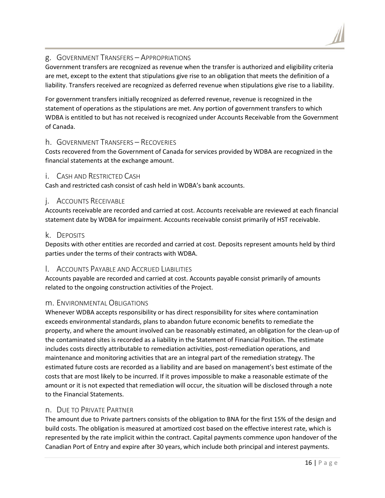#### g. GOVERNMENT TRANSFERS – APPROPRIATIONS

Government transfers are recognized as revenue when the transfer is authorized and eligibility criteria are met, except to the extent that stipulations give rise to an obligation that meets the definition of a liability. Transfers received are recognized as deferred revenue when stipulations give rise to a liability.

For government transfers initially recognized as deferred revenue, revenue is recognized in the statement of operations as the stipulations are met. Any portion of government transfers to which WDBA is entitled to but has not received is recognized under Accounts Receivable from the Government of Canada.

#### h. GOVERNMENT TRANSFERS – RECOVERIES

Costs recovered from the Government of Canada for services provided by WDBA are recognized in the financial statements at the exchange amount.

#### i. CASH AND RESTRICTED CASH

Cash and restricted cash consist of cash held in WDBA's bank accounts.

#### j. ACCOUNTS RECEIVABLE

Accounts receivable are recorded and carried at cost. Accounts receivable are reviewed at each financial statement date by WDBA for impairment. Accounts receivable consist primarily of HST receivable.

#### k. DEPOSITS

Deposits with other entities are recorded and carried at cost. Deposits represent amounts held by third parties under the terms of their contracts with WDBA.

#### l. ACCOUNTS PAYABLE AND ACCRUED LIABILITIES

Accounts payable are recorded and carried at cost. Accounts payable consist primarily of amounts related to the ongoing construction activities of the Project.

#### m. ENVIRONMENTAL OBLIGATIONS

Whenever WDBA accepts responsibility or has direct responsibility for sites where contamination exceeds environmental standards, plans to abandon future economic benefits to remediate the property, and where the amount involved can be reasonably estimated, an obligation for the clean-up of the contaminated sites is recorded as a liability in the Statement of Financial Position. The estimate includes costs directly attributable to remediation activities, post-remediation operations, and maintenance and monitoring activities that are an integral part of the remediation strategy. The estimated future costs are recorded as a liability and are based on management's best estimate of the costs that are most likely to be incurred. If it proves impossible to make a reasonable estimate of the amount or it is not expected that remediation will occur, the situation will be disclosed through a note to the Financial Statements.

#### n. DUE TO PRIVATE PARTNER

The amount due to Private partners consists of the obligation to BNA for the first 15% of the design and build costs. The obligation is measured at amortized cost based on the effective interest rate, which is represented by the rate implicit within the contract. Capital payments commence upon handover of the Canadian Port of Entry and expire after 30 years, which include both principal and interest payments.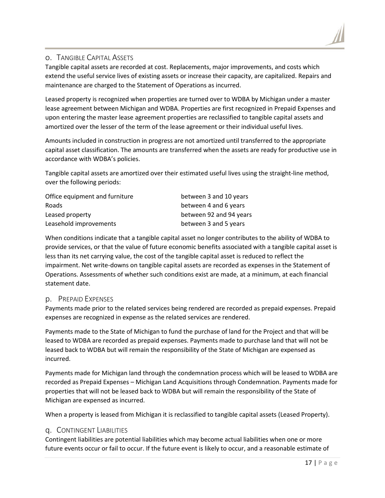#### o. TANGIBLE CAPITAL ASSETS

Tangible capital assets are recorded at cost. Replacements, major improvements, and costs which extend the useful service lives of existing assets or increase their capacity, are capitalized. Repairs and maintenance are charged to the Statement of Operations as incurred.

Leased property is recognized when properties are turned over to WDBA by Michigan under a master lease agreement between Michigan and WDBA. Properties are first recognized in Prepaid Expenses and upon entering the master lease agreement properties are reclassified to tangible capital assets and amortized over the lesser of the term of the lease agreement or their individual useful lives.

Amounts included in construction in progress are not amortized until transferred to the appropriate capital asset classification. The amounts are transferred when the assets are ready for productive use in accordance with WDBA's policies.

Tangible capital assets are amortized over their estimated useful lives using the straight-line method, over the following periods:

| Office equipment and furniture | between 3 and 10 years  |
|--------------------------------|-------------------------|
| Roads                          | between 4 and 6 years   |
| Leased property                | between 92 and 94 years |
| Leasehold improvements         | between 3 and 5 years   |

When conditions indicate that a tangible capital asset no longer contributes to the ability of WDBA to provide services, or that the value of future economic benefits associated with a tangible capital asset is less than its net carrying value, the cost of the tangible capital asset is reduced to reflect the impairment. Net write-downs on tangible capital assets are recorded as expenses in the Statement of Operations. Assessments of whether such conditions exist are made, at a minimum, at each financial statement date.

#### p. PREPAID EXPENSES

Payments made prior to the related services being rendered are recorded as prepaid expenses. Prepaid expenses are recognized in expense as the related services are rendered.

Payments made to the State of Michigan to fund the purchase of land for the Project and that will be leased to WDBA are recorded as prepaid expenses. Payments made to purchase land that will not be leased back to WDBA but will remain the responsibility of the State of Michigan are expensed as incurred.

Payments made for Michigan land through the condemnation process which will be leased to WDBA are recorded as Prepaid Expenses – Michigan Land Acquisitions through Condemnation. Payments made for properties that will not be leased back to WDBA but will remain the responsibility of the State of Michigan are expensed as incurred.

When a property is leased from Michigan it is reclassified to tangible capital assets (Leased Property).

#### q. CONTINGENT LIABILITIES

Contingent liabilities are potential liabilities which may become actual liabilities when one or more future events occur or fail to occur. If the future event is likely to occur, and a reasonable estimate of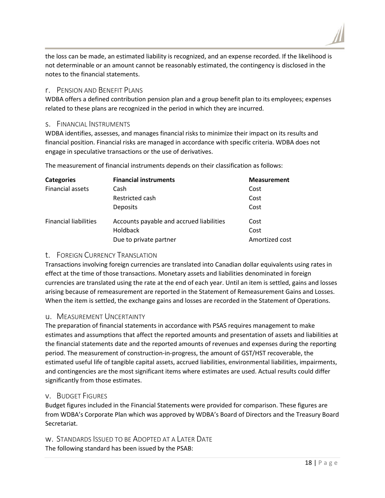the loss can be made, an estimated liability is recognized, and an expense recorded. If the likelihood is not determinable or an amount cannot be reasonably estimated, the contingency is disclosed in the notes to the financial statements.

#### r. PENSION AND BENEFIT PLANS

WDBA offers a defined contribution pension plan and a group benefit plan to its employees; expenses related to these plans are recognized in the period in which they are incurred.

#### s. FINANCIAL INSTRUMENTS

WDBA identifies, assesses, and manages financial risks to minimize their impact on its results and financial position. Financial risks are managed in accordance with specific criteria. WDBA does not engage in speculative transactions or the use of derivatives.

The measurement of financial instruments depends on their classification as follows:

| <b>Categories</b>            | <b>Financial instruments</b>             | <b>Measurement</b> |
|------------------------------|------------------------------------------|--------------------|
| Financial assets             | Cash                                     | Cost               |
|                              | Restricted cash                          | Cost               |
|                              | <b>Deposits</b>                          | Cost               |
| <b>Financial liabilities</b> | Accounts payable and accrued liabilities | Cost               |
|                              | <b>Holdback</b>                          | Cost               |
|                              | Due to private partner                   | Amortized cost     |

#### t. FOREIGN CURRENCY TRANSLATION

Transactions involving foreign currencies are translated into Canadian dollar equivalents using rates in effect at the time of those transactions. Monetary assets and liabilities denominated in foreign currencies are translated using the rate at the end of each year. Until an item is settled, gains and losses arising because of remeasurement are reported in the Statement of Remeasurement Gains and Losses. When the item is settled, the exchange gains and losses are recorded in the Statement of Operations.

#### u. MEASUREMENT UNCERTAINTY

The preparation of financial statements in accordance with PSAS requires management to make estimates and assumptions that affect the reported amounts and presentation of assets and liabilities at the financial statements date and the reported amounts of revenues and expenses during the reporting period. The measurement of construction-in-progress, the amount of GST/HST recoverable, the estimated useful life of tangible capital assets, accrued liabilities, environmental liabilities, impairments, and contingencies are the most significant items where estimates are used. Actual results could differ significantly from those estimates.

#### v. BUDGET FIGURES

Budget figures included in the Financial Statements were provided for comparison. These figures are from WDBA's Corporate Plan which was approved by WDBA's Board of Directors and the Treasury Board Secretariat.

w. STANDARDS ISSUED TO BE ADOPTED AT A LATER DATE The following standard has been issued by the PSAB: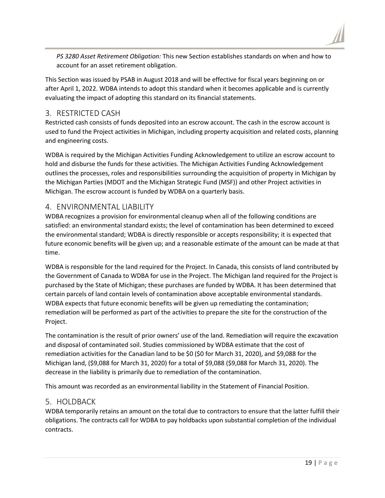*PS 3280 Asset Retirement Obligation:* This new Section establishes standards on when and how to account for an asset retirement obligation.

This Section was issued by PSAB in August 2018 and will be effective for fiscal years beginning on or after April 1, 2022. WDBA intends to adopt this standard when it becomes applicable and is currently evaluating the impact of adopting this standard on its financial statements.

## 3. RESTRICTED CASH

Restricted cash consists of funds deposited into an escrow account. The cash in the escrow account is used to fund the Project activities in Michigan, including property acquisition and related costs, planning and engineering costs.

WDBA is required by the Michigan Activities Funding Acknowledgement to utilize an escrow account to hold and disburse the funds for these activities. The Michigan Activities Funding Acknowledgement outlines the processes, roles and responsibilities surrounding the acquisition of property in Michigan by the Michigan Parties (MDOT and the Michigan Strategic Fund (MSF)) and other Project activities in Michigan. The escrow account is funded by WDBA on a quarterly basis.

## 4. ENVIRONMENTAL LIABILITY

WDBA recognizes a provision for environmental cleanup when all of the following conditions are satisfied: an environmental standard exists; the level of contamination has been determined to exceed the environmental standard; WDBA is directly responsible or accepts responsibility; it is expected that future economic benefits will be given up; and a reasonable estimate of the amount can be made at that time.

WDBA is responsible for the land required for the Project. In Canada, this consists of land contributed by the Government of Canada to WDBA for use in the Project. The Michigan land required for the Project is purchased by the State of Michigan; these purchases are funded by WDBA. It has been determined that certain parcels of land contain levels of contamination above acceptable environmental standards. WDBA expects that future economic benefits will be given up remediating the contamination; remediation will be performed as part of the activities to prepare the site for the construction of the Project.

The contamination is the result of prior owners' use of the land. Remediation will require the excavation and disposal of contaminated soil. Studies commissioned by WDBA estimate that the cost of remediation activities for the Canadian land to be \$0 (\$0 for March 31, 2020), and \$9,088 for the Michigan land, (\$9,088 for March 31, 2020) for a total of \$9,088 (\$9,088 for March 31, 2020). The decrease in the liability is primarily due to remediation of the contamination.

This amount was recorded as an environmental liability in the Statement of Financial Position.

### 5. HOLDBACK

WDBA temporarily retains an amount on the total due to contractors to ensure that the latter fulfill their obligations. The contracts call for WDBA to pay holdbacks upon substantial completion of the individual contracts.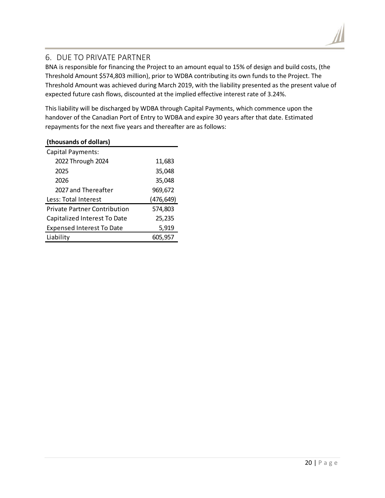## 6. DUE TO PRIVATE PARTNER

BNA is responsible for financing the Project to an amount equal to 15% of design and build costs, (the Threshold Amount \$574,803 million), prior to WDBA contributing its own funds to the Project. The Threshold Amount was achieved during March 2019, with the liability presented as the present value of expected future cash flows, discounted at the implied effective interest rate of 3.24%.

This liability will be discharged by WDBA through Capital Payments, which commence upon the handover of the Canadian Port of Entry to WDBA and expire 30 years after that date. Estimated repayments for the next five years and thereafter are as follows:

| (thousands of dollars)              |            |
|-------------------------------------|------------|
| Capital Payments:                   |            |
| 2022 Through 2024                   | 11,683     |
| 2025                                | 35,048     |
| 2026                                | 35,048     |
| 2027 and Thereafter                 | 969,672    |
| Less: Total Interest                | (476, 649) |
| <b>Private Partner Contribution</b> | 574,803    |
| Capitalized Interest To Date        | 25,235     |
| <b>Expensed Interest To Date</b>    | 5,919      |
| Liability                           | 605,957    |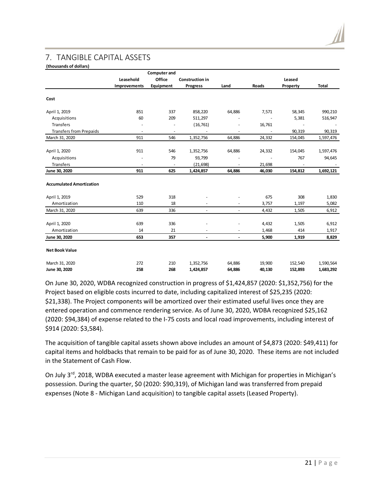## 7. TANGIBLE CAPITAL ASSETS

#### **(thousands of dollars)**

|                                 |                | <b>Computer and</b>  |                          |                                |                          |                          |                |
|---------------------------------|----------------|----------------------|--------------------------|--------------------------------|--------------------------|--------------------------|----------------|
|                                 | Leasehold      | Office               | <b>Construction in</b>   |                                |                          | Leased                   |                |
|                                 | Improvements   | Equipment            | <b>Progress</b>          | Land                           | Roads                    | Property                 | <b>Total</b>   |
| Cost                            |                |                      |                          |                                |                          |                          |                |
| April 1, 2019                   | 851            | 337                  | 858,220                  | 64,886                         | 7,571                    | 58,345                   | 990,210        |
| Acquisitions                    | 60             | 209                  | 511,297                  |                                |                          | 5,381                    | 516,947        |
| Transfers                       | $\overline{a}$ |                      | (16, 761)                |                                | 16,761                   |                          |                |
| <b>Transfers from Prepaids</b>  | $\sim$         | $\ddot{\phantom{1}}$ |                          | $\overline{a}$                 | $\overline{\phantom{a}}$ | 90,319                   | 90,319         |
| March 31, 2020                  | 911            | 546                  | 1,352,756                | 64,886                         | 24,332                   | 154,045                  | 1,597,476      |
| April 1, 2020                   | 911            | 546                  | 1,352,756                | 64,886                         | 24,332                   | 154,045                  | 1,597,476      |
| Acquisitions                    |                | 79                   | 93,799                   | $\overline{a}$                 |                          | 767                      | 94,645         |
| Transfers                       | $\overline{a}$ | ÷,                   | (21, 698)                | ٠                              | 21,698                   | $\overline{\phantom{a}}$ |                |
| June 30, 2020                   | 911            | 625                  | 1,424,857                | 64,886                         | 46,030                   | 154,812                  | 1,692,121      |
| <b>Accumulated Amortization</b> |                |                      |                          |                                |                          |                          |                |
| April 1, 2019                   | 529            | 318                  |                          |                                | 675                      | 308                      | 1,830          |
| Amortization                    | 110            | 18                   |                          | ÷,                             | 3,757                    | 1,197                    | 5,082          |
| March 31, 2020                  | 639            | 336                  | $\overline{\phantom{a}}$ | $\overline{\phantom{a}}$       | 4,432                    | 1,505                    | 6,912          |
| April 1, 2020<br>Amortization   | 639<br>14      | 336<br>21            |                          | ÷,<br>$\overline{\phantom{m}}$ | 4,432<br>1,468           | 1,505<br>414             | 6,912<br>1,917 |
| June 30, 2020                   | 653            | 357                  | $\blacksquare$           | $\overline{\phantom{a}}$       | 5,900                    | 1,919                    | 8,829          |
| <b>Net Book Value</b>           |                |                      |                          |                                |                          |                          |                |
| March 31, 2020                  | 272            | 210                  | 1,352,756                | 64,886                         | 19,900                   | 152,540                  | 1,590,564      |
| June 30, 2020                   | 258            | 268                  | 1,424,857                | 64,886                         | 40,130                   | 152,893                  | 1,683,292      |

On June 30, 2020, WDBA recognized construction in progress of \$1,424,857 (2020: \$1,352,756) for the Project based on eligible costs incurred to date, including capitalized interest of \$25,235 (2020: \$21,338). The Project components will be amortized over their estimated useful lives once they are entered operation and commence rendering service. As of June 30, 2020, WDBA recognized \$25,162 (2020: \$94,384) of expense related to the I-75 costs and local road improvements, including interest of \$914 (2020: \$3,584).

The acquisition of tangible capital assets shown above includes an amount of \$4,873 (2020: \$49,411) for capital items and holdbacks that remain to be paid for as of June 30, 2020. These items are not included in the Statement of Cash Flow.

On July 3<sup>rd</sup>, 2018, WDBA executed a master lease agreement with Michigan for properties in Michigan's possession. During the quarter, \$0 (2020: \$90,319), of Michigan land was transferred from prepaid expenses (Note 8 - Michigan Land acquisition) to tangible capital assets (Leased Property).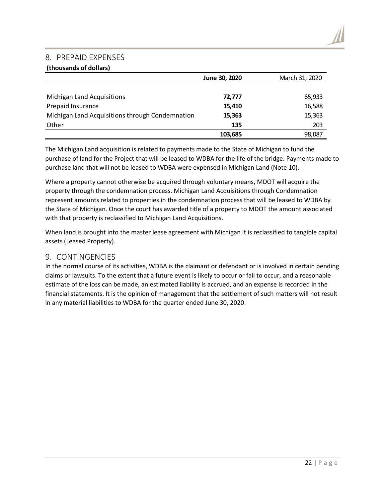#### 8. PREPAID EXPENSES

#### **(thousands of dollars)**

|                                                 | June 30, 2020 | March 31, 2020 |
|-------------------------------------------------|---------------|----------------|
|                                                 |               |                |
| Michigan Land Acquisitions                      | 72,777        | 65,933         |
| Prepaid Insurance                               | 15,410        | 16,588         |
| Michigan Land Acquisitions through Condemnation | 15,363        | 15,363         |
| Other                                           | 135           | 203            |
|                                                 | 103.685       | 98,087         |

The Michigan Land acquisition is related to payments made to the State of Michigan to fund the purchase of land for the Project that will be leased to WDBA for the life of the bridge. Payments made to purchase land that will not be leased to WDBA were expensed in Michigan Land (Note 10).

Where a property cannot otherwise be acquired through voluntary means, MDOT will acquire the property through the condemnation process. Michigan Land Acquisitions through Condemnation represent amounts related to properties in the condemnation process that will be leased to WDBA by the State of Michigan. Once the court has awarded title of a property to MDOT the amount associated with that property is reclassified to Michigan Land Acquisitions.

When land is brought into the master lease agreement with Michigan it is reclassified to tangible capital assets (Leased Property).

#### 9. CONTINGENCIES

In the normal course of its activities, WDBA is the claimant or defendant or is involved in certain pending claims or lawsuits. To the extent that a future event is likely to occur or fail to occur, and a reasonable estimate of the loss can be made, an estimated liability is accrued, and an expense is recorded in the financial statements. It is the opinion of management that the settlement of such matters will not result in any material liabilities to WDBA for the quarter ended June 30, 2020.